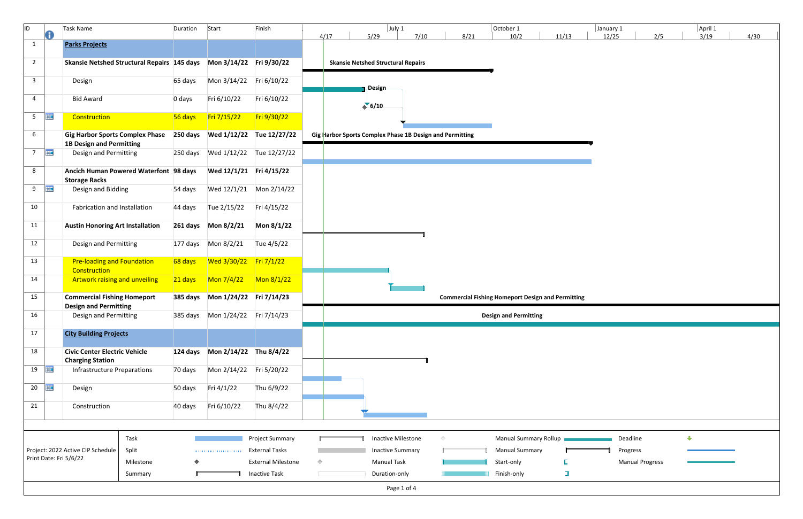| ID.                | O          | Task Name                                                           | Duration  | Start                      | Finish                                          |            | 4/17 | July 1<br>5/29                                           | 7/10 | 8/21       | October 1<br>10/2                                        | 11/13  | January 1<br>12/25 | 2/5                    | April 1<br>3/19 | 4/30 |
|--------------------|------------|---------------------------------------------------------------------|-----------|----------------------------|-------------------------------------------------|------------|------|----------------------------------------------------------|------|------------|----------------------------------------------------------|--------|--------------------|------------------------|-----------------|------|
| $\mathbf{1}$       |            | <b>Parks Projects</b>                                               |           |                            |                                                 |            |      |                                                          |      |            |                                                          |        |                    |                        |                 |      |
| $\overline{2}$     |            | Skansie Netshed Structural Repairs 145 days Mon 3/14/22 Fri 9/30/22 |           |                            |                                                 |            |      | <b>Skansie Netshed Structural Repairs</b>                |      |            |                                                          |        |                    |                        |                 |      |
| $\overline{3}$     |            | Design                                                              | 65 days   | Mon 3/14/22 Fri 6/10/22    |                                                 |            |      | Design                                                   |      |            |                                                          |        |                    |                        |                 |      |
| $\overline{4}$     |            | <b>Bid Award</b>                                                    | 0 days    | Fri 6/10/22                | Fri 6/10/22                                     |            |      | 6/10                                                     |      |            |                                                          |        |                    |                        |                 |      |
| 5 <sub>1</sub>     | <b>THE</b> | Construction                                                        | 56 days   | Fri 7/15/22                | Fri 9/30/22                                     |            |      |                                                          |      |            |                                                          |        |                    |                        |                 |      |
| 6                  |            | <b>Gig Harbor Sports Complex Phase</b>                              |           |                            |                                                 |            |      | Gig Harbor Sports Complex Phase 1B Design and Permitting |      |            |                                                          |        |                    |                        |                 |      |
| $7\overline{ }$    | <b>HIE</b> | <b>1B Design and Permitting</b><br>Design and Permitting            |           |                            |                                                 |            |      |                                                          |      |            |                                                          |        |                    |                        |                 |      |
| 8                  |            | Ancich Human Powered Waterfont 98 days                              |           | Wed 12/1/21 Fri 4/15/22    |                                                 |            |      |                                                          |      |            |                                                          |        |                    |                        |                 |      |
| 9                  | <b>HIE</b> | <b>Storage Racks</b><br>Design and Bidding                          | 54 days   |                            |                                                 |            |      |                                                          |      |            |                                                          |        |                    |                        |                 |      |
| 10                 |            | Fabrication and Installation                                        | 44 days   | Tue 2/15/22                | Fri 4/15/22                                     |            |      |                                                          |      |            |                                                          |        |                    |                        |                 |      |
| 11                 |            | <b>Austin Honoring Art Installation</b>                             |           |                            | Mon 8/1/22                                      |            |      |                                                          |      |            |                                                          |        |                    |                        |                 |      |
| 12                 |            | <b>Design and Permitting</b>                                        |           |                            | Tue 4/5/22                                      |            |      |                                                          |      |            |                                                          |        |                    |                        |                 |      |
| 13                 |            | <b>Pre-loading and Foundation</b>                                   | 68 days   | Wed $3/30/22$ Fri $7/1/22$ |                                                 |            |      |                                                          |      |            |                                                          |        |                    |                        |                 |      |
| 14                 |            | Construction<br>Artwork raising and unveiling                       | $21$ days | $M$ on 7/4/22              | $M$ on 8/1/22                                   |            |      |                                                          |      |            |                                                          |        |                    |                        |                 |      |
| 15                 |            | <b>Commercial Fishing Homeport</b>                                  |           |                            |                                                 |            |      |                                                          |      |            | <b>Commercial Fishing Homeport Design and Permitting</b> |        |                    |                        |                 |      |
|                    |            | <b>Design and Permitting</b>                                        |           |                            |                                                 |            |      |                                                          |      |            |                                                          |        |                    |                        |                 |      |
| 16                 |            | <b>Design and Permitting</b>                                        |           |                            |                                                 |            |      |                                                          |      |            | <b>Design and Permitting</b>                             |        |                    |                        |                 |      |
| 17                 |            | <b>City Building Projects</b>                                       |           |                            |                                                 |            |      |                                                          |      |            |                                                          |        |                    |                        |                 |      |
| 18                 |            | <b>Civic Center Electric Vehicle</b><br><b>Charging Station</b>     |           |                            |                                                 |            |      |                                                          |      |            |                                                          |        |                    |                        |                 |      |
| $19$ $\frac{1}{2}$ |            | <b>Infrastructure Preparations</b>                                  | 70 days   | Mon 2/14/22    Fri 5/20/22 |                                                 |            |      |                                                          |      |            |                                                          |        |                    |                        |                 |      |
| 20 <sub>2</sub>    | <b>THE</b> | Design                                                              | 50 days   | Fri 4/1/22                 | Thu 6/9/22                                      |            |      |                                                          |      |            |                                                          |        |                    |                        |                 |      |
| 21                 |            | Construction                                                        | 40 days   | Fri 6/10/22                | Thu 8/4/22                                      |            |      |                                                          |      |            |                                                          |        |                    |                        |                 |      |
|                    |            |                                                                     |           |                            |                                                 |            |      |                                                          |      |            |                                                          |        |                    |                        |                 |      |
|                    |            | Task<br>Split<br>Project: 2022 Active CIP Schedule                  |           |                            | <b>Project Summary</b><br><b>External Tasks</b> |            |      | Inactive Milestone<br><b>Inactive Summary</b>            |      | $\Diamond$ | Manual Summary Rollup<br><b>Manual Summary</b>           |        |                    | Deadline<br>Progress   | $\bigoplus$     |      |
|                    |            | Print Date: Fri 5/6/22<br>Milestone                                 |           |                            | <b>External Milestone</b>                       | $\Diamond$ |      | <b>Manual Task</b>                                       |      |            | Start-only                                               |        |                    | <b>Manual Progress</b> |                 |      |
|                    |            | Summary                                                             |           |                            | <b>Inactive Task</b>                            |            |      | Duration-only                                            |      |            | Finish-only                                              | $\Box$ |                    |                        |                 |      |
|                    |            |                                                                     |           |                            |                                                 |            |      | Page 1 of 4                                              |      |            |                                                          |        |                    |                        |                 |      |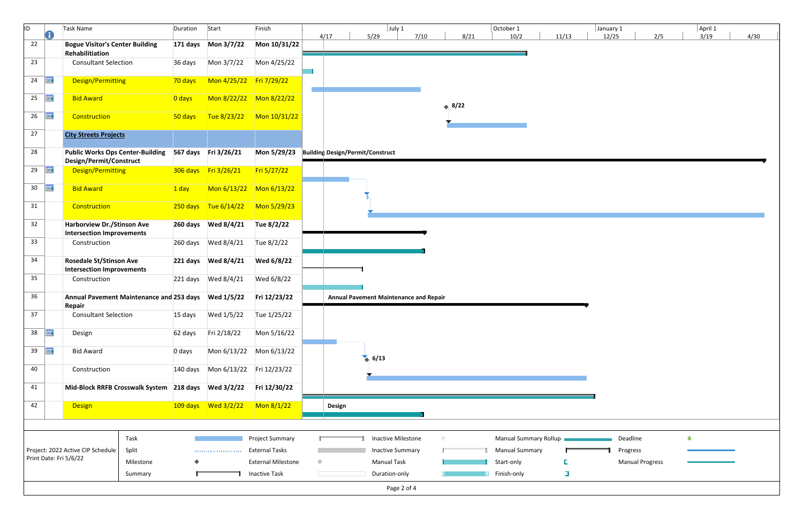| r1<br>10/2   |                   | 11/13       | January 1<br>12/25 |                        | 2/5 |             | April 1<br>3/19 | 4/30 |
|--------------|-------------------|-------------|--------------------|------------------------|-----|-------------|-----------------|------|
|              |                   |             |                    |                        |     |             |                 |      |
|              |                   |             |                    |                        |     |             |                 |      |
|              |                   |             |                    |                        |     |             |                 |      |
|              |                   |             |                    |                        |     |             |                 |      |
|              |                   |             |                    |                        |     |             |                 |      |
|              |                   |             |                    |                        |     |             |                 |      |
|              |                   |             |                    |                        |     |             |                 |      |
|              |                   |             |                    |                        |     |             |                 |      |
|              |                   |             |                    |                        |     |             |                 |      |
|              |                   |             |                    |                        |     |             |                 |      |
|              |                   |             |                    |                        |     |             |                 |      |
|              |                   |             |                    |                        |     |             |                 |      |
|              |                   |             |                    |                        |     |             |                 |      |
|              |                   |             |                    |                        |     |             |                 |      |
|              |                   |             |                    |                        |     |             |                 |      |
|              |                   |             |                    |                        |     |             |                 |      |
|              |                   |             |                    |                        |     |             |                 |      |
|              |                   |             |                    |                        |     |             |                 |      |
|              |                   |             |                    |                        |     |             |                 |      |
|              |                   |             |                    |                        |     |             |                 |      |
|              |                   |             |                    |                        |     |             |                 |      |
|              |                   |             |                    |                        |     |             |                 |      |
|              |                   |             |                    |                        |     |             |                 |      |
|              |                   |             |                    |                        |     |             |                 |      |
|              |                   |             |                    |                        |     |             |                 |      |
|              |                   |             |                    |                        |     |             |                 |      |
|              |                   |             |                    |                        |     |             |                 |      |
|              |                   |             |                    |                        |     |             |                 |      |
|              |                   |             |                    |                        |     |             |                 |      |
|              |                   |             |                    |                        |     |             |                 |      |
|              |                   |             |                    |                        |     |             |                 |      |
|              | al Summary Rollup |             |                    | Deadline               |     | $\bigoplus$ |                 |      |
| al Summary   |                   | Г           |                    | Progress               |     |             |                 |      |
| only<br>only |                   | E<br>$\Box$ |                    | <b>Manual Progress</b> |     |             |                 |      |

| A<br>4/17<br>5/29<br>7/10<br>8/21<br>11/13<br>12/25<br>10/2<br>Mon 10/31/22<br><b>Bogue Visitor's Center Building</b><br>22<br>Rehabilitiation<br>Mon 3/7/22<br>Mon 4/25/22<br><b>Consultant Selection</b><br>36 days<br>23<br>冊<br>Design/Permitting<br>Mon 4/25/22 Fri 7/29/22<br>70 days<br>24<br><b>HIE</b><br>25<br><b>Bid Award</b><br>$\overline{)0}$ days<br>$*8/22$<br>冊<br>Construction<br>Tue 8/23/22<br>Mon 10/31/22<br>26<br>50 days<br>27<br><b>City Streets Projects</b><br>28<br><b>Public Works Ops Center-Building</b><br>567 days Fri 3/26/21<br>Mon 5/29/23<br><b>Building Design/Permit/Construct</b><br>Design/Permit/Construct<br>306 days Fri 3/26/21<br>Fri 5/27/22<br><b>HH</b><br>Design/Permitting<br>29<br>亜<br>Mon 6/13/22<br><b>Bid Award</b><br>$M$ on 6/13/22<br>30 <sup>°</sup><br>$1$ day<br>Construction<br>250 days Tue 6/14/22<br>Mon 5/29/23<br>31<br>32<br><b>Harborview Dr./Stinson Ave</b><br>Tue 8/2/22<br><b>Intersection Improvements</b><br>33<br>Wed 8/4/21<br>Tue 8/2/22<br>Construction<br>260 days<br>34<br><b>Rosedale St/Stinson Ave</b><br>Wed 6/8/22<br><b>Intersection Improvements</b><br>35<br>Wed 6/8/22<br>Construction<br>36<br>Annual Pavement Maintenance and 253 days Wed 1/5/22<br>Fri 12/23/22<br>Annual Pavement Maintenance and Repair<br>Repair<br>15 days Wed 1/5/22<br>Tue 1/25/22<br>37<br><b>Consultant Selection</b><br><b>THE</b><br>38<br>Fri 2/18/22<br>Mon 5/16/22<br>Design<br>62 days<br>39<br><b>HIE</b><br>Mon 6/13/22<br><b>Bid Award</b><br>Mon 6/13/22<br>0 days<br>6/13<br>140 days    Mon 6/13/22    Fri 12/23/22<br>Construction<br>40<br>41<br>Mid-Block RRFB Crosswalk System 218 days Wed 3/2/22<br>Fri 12/30/22<br>Mon 8/1/22<br>42<br><b>Design</b><br><b>Design</b><br>Task<br>Manual Summary Rollup<br>Deadline<br><b>Project Summary</b><br><b>Inactive Milestone</b><br>$\Diamond$<br><b>Manual Summary</b><br>Split<br><b>External Tasks</b><br><b>Inactive Summary</b><br>Project: 2022 Active CIP Schedule<br>Progress<br><br>Print Date: Fri 5/6/22<br><b>Manual Task</b><br><b>External Milestone</b><br>♦<br>Milestone<br>Start-only<br>$\Box$<br><b>Inactive Task</b><br>Duration-only<br>Finish-only<br>Summary | ID. | Task Name | Duration | Start | Finish |  | July 1 |  | October 1 | January 1 |                        |
|-------------------------------------------------------------------------------------------------------------------------------------------------------------------------------------------------------------------------------------------------------------------------------------------------------------------------------------------------------------------------------------------------------------------------------------------------------------------------------------------------------------------------------------------------------------------------------------------------------------------------------------------------------------------------------------------------------------------------------------------------------------------------------------------------------------------------------------------------------------------------------------------------------------------------------------------------------------------------------------------------------------------------------------------------------------------------------------------------------------------------------------------------------------------------------------------------------------------------------------------------------------------------------------------------------------------------------------------------------------------------------------------------------------------------------------------------------------------------------------------------------------------------------------------------------------------------------------------------------------------------------------------------------------------------------------------------------------------------------------------------------------------------------------------------------------------------------------------------------------------------------------------------------------------------------------------------------------------------------------------------------------------------------------------------------------------------------------------------------------------------------------------------------------------------------------------------------------------------|-----|-----------|----------|-------|--------|--|--------|--|-----------|-----------|------------------------|
|                                                                                                                                                                                                                                                                                                                                                                                                                                                                                                                                                                                                                                                                                                                                                                                                                                                                                                                                                                                                                                                                                                                                                                                                                                                                                                                                                                                                                                                                                                                                                                                                                                                                                                                                                                                                                                                                                                                                                                                                                                                                                                                                                                                                                         |     |           |          |       |        |  |        |  |           |           | 2/5                    |
|                                                                                                                                                                                                                                                                                                                                                                                                                                                                                                                                                                                                                                                                                                                                                                                                                                                                                                                                                                                                                                                                                                                                                                                                                                                                                                                                                                                                                                                                                                                                                                                                                                                                                                                                                                                                                                                                                                                                                                                                                                                                                                                                                                                                                         |     |           |          |       |        |  |        |  |           |           |                        |
|                                                                                                                                                                                                                                                                                                                                                                                                                                                                                                                                                                                                                                                                                                                                                                                                                                                                                                                                                                                                                                                                                                                                                                                                                                                                                                                                                                                                                                                                                                                                                                                                                                                                                                                                                                                                                                                                                                                                                                                                                                                                                                                                                                                                                         |     |           |          |       |        |  |        |  |           |           |                        |
|                                                                                                                                                                                                                                                                                                                                                                                                                                                                                                                                                                                                                                                                                                                                                                                                                                                                                                                                                                                                                                                                                                                                                                                                                                                                                                                                                                                                                                                                                                                                                                                                                                                                                                                                                                                                                                                                                                                                                                                                                                                                                                                                                                                                                         |     |           |          |       |        |  |        |  |           |           |                        |
|                                                                                                                                                                                                                                                                                                                                                                                                                                                                                                                                                                                                                                                                                                                                                                                                                                                                                                                                                                                                                                                                                                                                                                                                                                                                                                                                                                                                                                                                                                                                                                                                                                                                                                                                                                                                                                                                                                                                                                                                                                                                                                                                                                                                                         |     |           |          |       |        |  |        |  |           |           |                        |
|                                                                                                                                                                                                                                                                                                                                                                                                                                                                                                                                                                                                                                                                                                                                                                                                                                                                                                                                                                                                                                                                                                                                                                                                                                                                                                                                                                                                                                                                                                                                                                                                                                                                                                                                                                                                                                                                                                                                                                                                                                                                                                                                                                                                                         |     |           |          |       |        |  |        |  |           |           |                        |
|                                                                                                                                                                                                                                                                                                                                                                                                                                                                                                                                                                                                                                                                                                                                                                                                                                                                                                                                                                                                                                                                                                                                                                                                                                                                                                                                                                                                                                                                                                                                                                                                                                                                                                                                                                                                                                                                                                                                                                                                                                                                                                                                                                                                                         |     |           |          |       |        |  |        |  |           |           |                        |
|                                                                                                                                                                                                                                                                                                                                                                                                                                                                                                                                                                                                                                                                                                                                                                                                                                                                                                                                                                                                                                                                                                                                                                                                                                                                                                                                                                                                                                                                                                                                                                                                                                                                                                                                                                                                                                                                                                                                                                                                                                                                                                                                                                                                                         |     |           |          |       |        |  |        |  |           |           |                        |
|                                                                                                                                                                                                                                                                                                                                                                                                                                                                                                                                                                                                                                                                                                                                                                                                                                                                                                                                                                                                                                                                                                                                                                                                                                                                                                                                                                                                                                                                                                                                                                                                                                                                                                                                                                                                                                                                                                                                                                                                                                                                                                                                                                                                                         |     |           |          |       |        |  |        |  |           |           |                        |
|                                                                                                                                                                                                                                                                                                                                                                                                                                                                                                                                                                                                                                                                                                                                                                                                                                                                                                                                                                                                                                                                                                                                                                                                                                                                                                                                                                                                                                                                                                                                                                                                                                                                                                                                                                                                                                                                                                                                                                                                                                                                                                                                                                                                                         |     |           |          |       |        |  |        |  |           |           |                        |
|                                                                                                                                                                                                                                                                                                                                                                                                                                                                                                                                                                                                                                                                                                                                                                                                                                                                                                                                                                                                                                                                                                                                                                                                                                                                                                                                                                                                                                                                                                                                                                                                                                                                                                                                                                                                                                                                                                                                                                                                                                                                                                                                                                                                                         |     |           |          |       |        |  |        |  |           |           |                        |
|                                                                                                                                                                                                                                                                                                                                                                                                                                                                                                                                                                                                                                                                                                                                                                                                                                                                                                                                                                                                                                                                                                                                                                                                                                                                                                                                                                                                                                                                                                                                                                                                                                                                                                                                                                                                                                                                                                                                                                                                                                                                                                                                                                                                                         |     |           |          |       |        |  |        |  |           |           |                        |
|                                                                                                                                                                                                                                                                                                                                                                                                                                                                                                                                                                                                                                                                                                                                                                                                                                                                                                                                                                                                                                                                                                                                                                                                                                                                                                                                                                                                                                                                                                                                                                                                                                                                                                                                                                                                                                                                                                                                                                                                                                                                                                                                                                                                                         |     |           |          |       |        |  |        |  |           |           |                        |
|                                                                                                                                                                                                                                                                                                                                                                                                                                                                                                                                                                                                                                                                                                                                                                                                                                                                                                                                                                                                                                                                                                                                                                                                                                                                                                                                                                                                                                                                                                                                                                                                                                                                                                                                                                                                                                                                                                                                                                                                                                                                                                                                                                                                                         |     |           |          |       |        |  |        |  |           |           |                        |
|                                                                                                                                                                                                                                                                                                                                                                                                                                                                                                                                                                                                                                                                                                                                                                                                                                                                                                                                                                                                                                                                                                                                                                                                                                                                                                                                                                                                                                                                                                                                                                                                                                                                                                                                                                                                                                                                                                                                                                                                                                                                                                                                                                                                                         |     |           |          |       |        |  |        |  |           |           |                        |
|                                                                                                                                                                                                                                                                                                                                                                                                                                                                                                                                                                                                                                                                                                                                                                                                                                                                                                                                                                                                                                                                                                                                                                                                                                                                                                                                                                                                                                                                                                                                                                                                                                                                                                                                                                                                                                                                                                                                                                                                                                                                                                                                                                                                                         |     |           |          |       |        |  |        |  |           |           |                        |
|                                                                                                                                                                                                                                                                                                                                                                                                                                                                                                                                                                                                                                                                                                                                                                                                                                                                                                                                                                                                                                                                                                                                                                                                                                                                                                                                                                                                                                                                                                                                                                                                                                                                                                                                                                                                                                                                                                                                                                                                                                                                                                                                                                                                                         |     |           |          |       |        |  |        |  |           |           |                        |
|                                                                                                                                                                                                                                                                                                                                                                                                                                                                                                                                                                                                                                                                                                                                                                                                                                                                                                                                                                                                                                                                                                                                                                                                                                                                                                                                                                                                                                                                                                                                                                                                                                                                                                                                                                                                                                                                                                                                                                                                                                                                                                                                                                                                                         |     |           |          |       |        |  |        |  |           |           |                        |
|                                                                                                                                                                                                                                                                                                                                                                                                                                                                                                                                                                                                                                                                                                                                                                                                                                                                                                                                                                                                                                                                                                                                                                                                                                                                                                                                                                                                                                                                                                                                                                                                                                                                                                                                                                                                                                                                                                                                                                                                                                                                                                                                                                                                                         |     |           |          |       |        |  |        |  |           |           |                        |
|                                                                                                                                                                                                                                                                                                                                                                                                                                                                                                                                                                                                                                                                                                                                                                                                                                                                                                                                                                                                                                                                                                                                                                                                                                                                                                                                                                                                                                                                                                                                                                                                                                                                                                                                                                                                                                                                                                                                                                                                                                                                                                                                                                                                                         |     |           |          |       |        |  |        |  |           |           |                        |
|                                                                                                                                                                                                                                                                                                                                                                                                                                                                                                                                                                                                                                                                                                                                                                                                                                                                                                                                                                                                                                                                                                                                                                                                                                                                                                                                                                                                                                                                                                                                                                                                                                                                                                                                                                                                                                                                                                                                                                                                                                                                                                                                                                                                                         |     |           |          |       |        |  |        |  |           |           |                        |
|                                                                                                                                                                                                                                                                                                                                                                                                                                                                                                                                                                                                                                                                                                                                                                                                                                                                                                                                                                                                                                                                                                                                                                                                                                                                                                                                                                                                                                                                                                                                                                                                                                                                                                                                                                                                                                                                                                                                                                                                                                                                                                                                                                                                                         |     |           |          |       |        |  |        |  |           |           |                        |
|                                                                                                                                                                                                                                                                                                                                                                                                                                                                                                                                                                                                                                                                                                                                                                                                                                                                                                                                                                                                                                                                                                                                                                                                                                                                                                                                                                                                                                                                                                                                                                                                                                                                                                                                                                                                                                                                                                                                                                                                                                                                                                                                                                                                                         |     |           |          |       |        |  |        |  |           |           |                        |
|                                                                                                                                                                                                                                                                                                                                                                                                                                                                                                                                                                                                                                                                                                                                                                                                                                                                                                                                                                                                                                                                                                                                                                                                                                                                                                                                                                                                                                                                                                                                                                                                                                                                                                                                                                                                                                                                                                                                                                                                                                                                                                                                                                                                                         |     |           |          |       |        |  |        |  |           |           |                        |
|                                                                                                                                                                                                                                                                                                                                                                                                                                                                                                                                                                                                                                                                                                                                                                                                                                                                                                                                                                                                                                                                                                                                                                                                                                                                                                                                                                                                                                                                                                                                                                                                                                                                                                                                                                                                                                                                                                                                                                                                                                                                                                                                                                                                                         |     |           |          |       |        |  |        |  |           |           |                        |
|                                                                                                                                                                                                                                                                                                                                                                                                                                                                                                                                                                                                                                                                                                                                                                                                                                                                                                                                                                                                                                                                                                                                                                                                                                                                                                                                                                                                                                                                                                                                                                                                                                                                                                                                                                                                                                                                                                                                                                                                                                                                                                                                                                                                                         |     |           |          |       |        |  |        |  |           |           | <b>Manual Progress</b> |
|                                                                                                                                                                                                                                                                                                                                                                                                                                                                                                                                                                                                                                                                                                                                                                                                                                                                                                                                                                                                                                                                                                                                                                                                                                                                                                                                                                                                                                                                                                                                                                                                                                                                                                                                                                                                                                                                                                                                                                                                                                                                                                                                                                                                                         |     |           |          |       |        |  |        |  |           |           |                        |
| Page 2 of 4                                                                                                                                                                                                                                                                                                                                                                                                                                                                                                                                                                                                                                                                                                                                                                                                                                                                                                                                                                                                                                                                                                                                                                                                                                                                                                                                                                                                                                                                                                                                                                                                                                                                                                                                                                                                                                                                                                                                                                                                                                                                                                                                                                                                             |     |           |          |       |        |  |        |  |           |           |                        |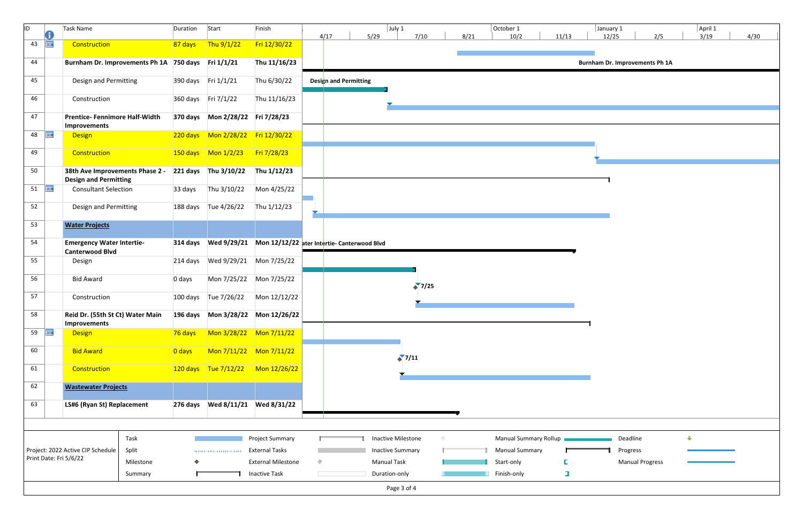| ID                     | Task Name                                                                          | Duration            | Start                | Finish                                                                   |            |                       |      | $ $ July 1              |                |            |      | October 1             |        | January 1                      |                        |     | April 1     |      |  |
|------------------------|------------------------------------------------------------------------------------|---------------------|----------------------|--------------------------------------------------------------------------|------------|-----------------------|------|-------------------------|----------------|------------|------|-----------------------|--------|--------------------------------|------------------------|-----|-------------|------|--|
| O                      |                                                                                    |                     |                      |                                                                          |            | 4/17                  | 5/29 |                         | 7/10           |            | 8/21 | 10/2                  | 11/13  | 12/25                          |                        | 2/5 | 3/19        | 4/30 |  |
| <b>FILE</b><br>43      | Construction                                                                       | 87 days             | Thu $9/1/22$         | Fri 12/30/22                                                             |            |                       |      |                         |                |            |      |                       |        |                                |                        |     |             |      |  |
| 44                     | Burnham Dr. Improvements Ph 1A 750 days Fri 1/1/21                                 |                     |                      | Thu 11/16/23                                                             |            |                       |      |                         |                |            |      |                       |        | Burnham Dr. Improvements Ph 1A |                        |     |             |      |  |
| 45                     | Design and Permitting                                                              |                     | 390 days Fri 1/1/21  | Thu 6/30/22                                                              |            | Design and Permitting |      |                         |                |            |      |                       |        |                                |                        |     |             |      |  |
| 46                     | Construction                                                                       |                     | 360 days Fri 7/1/22  | Thu 11/16/23                                                             |            |                       |      |                         |                |            |      |                       |        |                                |                        |     |             |      |  |
| 47                     | <b>Prentice-Fennimore Half-Width</b><br>Improvements                               |                     |                      |                                                                          |            |                       |      |                         |                |            |      |                       |        |                                |                        |     |             |      |  |
| <b>THE</b><br>48       | <b>Design</b>                                                                      |                     |                      |                                                                          |            |                       |      |                         |                |            |      |                       |        |                                |                        |     |             |      |  |
| 49                     | Construction                                                                       |                     |                      |                                                                          |            |                       |      |                         |                |            |      |                       |        |                                |                        |     |             |      |  |
| 50                     | 38th Ave Improvements Phase 2 -<br><b>Design and Permitting</b>                    |                     | 221 days Thu 3/10/22 | Thu 1/12/23                                                              |            |                       |      |                         |                |            |      |                       |        |                                |                        |     |             |      |  |
| 51 $\frac{1}{2}$       | <b>Consultant Selection</b>                                                        | 33 days             | Thu 3/10/22          | Mon 4/25/22                                                              |            |                       |      |                         |                |            |      |                       |        |                                |                        |     |             |      |  |
| 52                     | <b>Design and Permitting</b>                                                       |                     | 188 days Tue 4/26/22 | Thu 1/12/23                                                              |            |                       |      |                         |                |            |      |                       |        |                                |                        |     |             |      |  |
| 53                     | <b>Water Projects</b>                                                              |                     |                      |                                                                          |            |                       |      |                         |                |            |      |                       |        |                                |                        |     |             |      |  |
| 54                     | <b>Emergency Water Intertie-</b><br><b>Canterwood Blvd</b>                         |                     |                      | 314 days    VVed 9/29/21    VIOn 12/12/22 ater Intertie- Canterwood Blvd |            |                       |      |                         |                |            |      |                       |        |                                |                        |     |             |      |  |
| 55                     | Design                                                                             |                     |                      | 214 days    VVed 9/29/21    Mon 7/25/22                                  |            |                       |      |                         |                |            |      |                       |        |                                |                        |     |             |      |  |
| 56                     | <b>Bid Award</b>                                                                   | 0 days              |                      | Mon 7/25/22 Mon 7/25/22                                                  |            |                       |      |                         | $\binom{1}{2}$ |            |      |                       |        |                                |                        |     |             |      |  |
| 57                     | Construction                                                                       |                     | 100 days Tue 7/26/22 | Mon 12/12/22                                                             |            |                       |      |                         |                |            |      |                       |        |                                |                        |     |             |      |  |
| 58                     | Reid Dr. (55th St Ct) Water Main 196 days Mon 3/28/22 Mon 12/26/22<br>Improvements |                     |                      |                                                                          |            |                       |      |                         |                |            |      |                       |        |                                |                        |     |             |      |  |
| 59 $\frac{1}{2}$       | <b>Design</b>                                                                      | 76 days             |                      |                                                                          |            |                       |      |                         |                |            |      |                       |        |                                |                        |     |             |      |  |
| 60                     | <b>Bid Award</b>                                                                   | $\overline{0}$ days |                      |                                                                          |            |                       |      | $\binom{1}{2}$          |                |            |      |                       |        |                                |                        |     |             |      |  |
| 61                     | Construction                                                                       |                     |                      | $120 \text{ days}$ Tue 7/12/22 Mon 12/26/22                              |            |                       |      |                         |                |            |      |                       |        |                                |                        |     |             |      |  |
| 62                     | <b>Wastewater Projects</b>                                                         |                     |                      |                                                                          |            |                       |      |                         |                |            |      |                       |        |                                |                        |     |             |      |  |
| 63                     | LS#6 (Ryan St) Replacement                                                         |                     |                      |                                                                          |            |                       |      |                         |                |            |      |                       |        |                                |                        |     |             |      |  |
|                        |                                                                                    |                     |                      |                                                                          |            |                       |      |                         |                |            |      |                       |        |                                |                        |     |             |      |  |
|                        | Task                                                                               |                     |                      | <b>Project Summary</b>                                                   |            |                       |      | Inactive Milestone      |                | $\Diamond$ |      | Manual Summary Rollup |        |                                | Deadline               |     | $\bigoplus$ |      |  |
|                        | Split<br>Project: 2022 Active CIP Schedule                                         |                     | -0.000.000.000.000   | <b>External Tasks</b>                                                    |            |                       |      | <b>Inactive Summary</b> |                |            |      | <b>Manual Summary</b> |        |                                | Progress               |     |             |      |  |
| Print Date: Fri 5/6/22 | Milestone                                                                          |                     |                      | <b>External Milestone</b>                                                | $\Diamond$ |                       |      | <b>Manual Task</b>      |                |            |      | Start-only            |        |                                | <b>Manual Progress</b> |     |             |      |  |
|                        | Summary                                                                            |                     |                      | <b>Inactive Task</b>                                                     |            |                       |      | Duration-only           |                |            |      | Finish-only           | $\Box$ |                                |                        |     |             |      |  |
|                        |                                                                                    |                     |                      |                                                                          |            |                       |      | Page 3 of 4             |                |            |      |                       |        |                                |                        |     |             |      |  |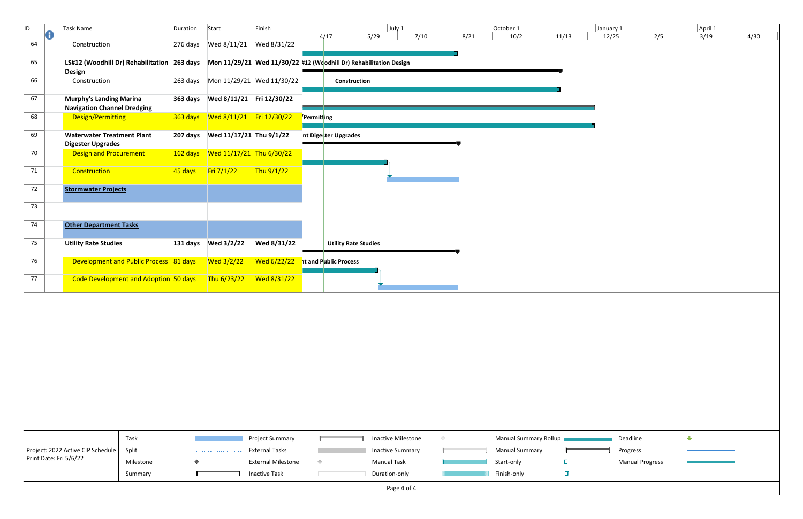| ID. | Œ | Task Name                                                                                                                      | Duration | Start                     | Finish                                  |            | 4/17                        | $ $ July 1<br>5/29      | 7/10       | 8/21 | October 1<br>10/2     | 11/13  | January 1<br>12/25 | 2/5                    |             | April 1<br>3/19 | 4/30 |
|-----|---|--------------------------------------------------------------------------------------------------------------------------------|----------|---------------------------|-----------------------------------------|------------|-----------------------------|-------------------------|------------|------|-----------------------|--------|--------------------|------------------------|-------------|-----------------|------|
| 64  |   | Construction                                                                                                                   |          |                           |                                         |            |                             |                         |            |      |                       |        |                    |                        |             |                 |      |
| 65  |   | LS#12 (Woodhill Dr) Rehabilitation 263 days Mon 11/29/21 Wed 11/30/22 #12 (Woodhill Dr) Rehabilitation Design<br><b>Design</b> |          |                           |                                         |            |                             |                         |            |      |                       |        |                    |                        |             |                 |      |
| 66  |   | Construction                                                                                                                   |          |                           |                                         |            | Construction                |                         |            |      |                       |        |                    |                        |             |                 |      |
| 67  |   | <b>Murphy's Landing Marina</b><br><b>Navigation Channel Dredging</b>                                                           |          |                           | 363 days    Ved 8/11/21    Fri 12/30/22 |            |                             |                         |            |      |                       |        |                    |                        |             |                 |      |
| 68  |   | Design/Permitting                                                                                                              |          |                           |                                         | Permitting |                             |                         |            |      |                       |        |                    |                        |             |                 |      |
| 69  |   | <b>Waterwater Treatment Plant</b><br><b>Digester Upgrades</b>                                                                  |          |                           |                                         |            | nt Digester Upgrades        |                         |            |      |                       |        |                    |                        |             |                 |      |
| 70  |   | <b>Design and Procurement</b>                                                                                                  |          |                           |                                         |            |                             |                         |            |      |                       |        |                    |                        |             |                 |      |
| 71  |   | Construction                                                                                                                   |          | 45 days Fri 7/1/22        | Thu $9/1/22$                            |            |                             |                         |            |      |                       |        |                    |                        |             |                 |      |
| 72  |   | <b>Stormwater Projects</b>                                                                                                     |          |                           |                                         |            |                             |                         |            |      |                       |        |                    |                        |             |                 |      |
| 73  |   |                                                                                                                                |          |                           |                                         |            |                             |                         |            |      |                       |        |                    |                        |             |                 |      |
| 74  |   | <b>Other Department Tasks</b>                                                                                                  |          |                           |                                         |            |                             |                         |            |      |                       |        |                    |                        |             |                 |      |
| 75  |   | <b>Utility Rate Studies</b>                                                                                                    |          |                           | Wed 8/31/22                             |            | <b>Utility Rate Studies</b> |                         |            |      |                       |        |                    |                        |             |                 |      |
| 76  |   | Development and Public Process 81 days                                                                                         |          | Wed 3/2/22                | Wed 6/22/22                             |            | ht and Public Process       |                         |            |      |                       |        |                    |                        |             |                 |      |
| 77  |   | Code Development and Adoption 50 days Thu 6/23/22                                                                              |          |                           | Wed 8/31/22                             |            |                             |                         |            |      |                       |        |                    |                        |             |                 |      |
|     |   |                                                                                                                                |          |                           |                                         |            |                             |                         |            |      |                       |        |                    |                        |             |                 |      |
|     |   |                                                                                                                                |          |                           |                                         |            |                             |                         |            |      |                       |        |                    |                        |             |                 |      |
|     |   |                                                                                                                                |          |                           |                                         |            |                             |                         |            |      |                       |        |                    |                        |             |                 |      |
|     |   |                                                                                                                                |          |                           |                                         |            |                             |                         |            |      |                       |        |                    |                        |             |                 |      |
|     |   |                                                                                                                                |          |                           |                                         |            |                             |                         |            |      |                       |        |                    |                        |             |                 |      |
|     |   |                                                                                                                                |          |                           |                                         |            |                             |                         |            |      |                       |        |                    |                        |             |                 |      |
|     |   | Task                                                                                                                           |          |                           | Project Summary                         |            |                             | Inactive Milestone      | $\Diamond$ |      | Manual Summary Rollup |        | Deadline           |                        | $\bigoplus$ |                 |      |
|     |   | Project: 2022 Active CIP Schedule<br>Split                                                                                     |          | - 0.000 0.000 0.000 0.000 | <b>External Tasks</b>                   |            |                             | <b>Inactive Summary</b> |            |      | <b>Manual Summary</b> |        | Progress           |                        |             |                 |      |
|     |   | Print Date: Fri 5/6/22<br>Milestone                                                                                            |          |                           | <b>External Milestone</b>               | $\Diamond$ |                             | <b>Manual Task</b>      |            |      | Start-only            |        |                    | <b>Manual Progress</b> |             |                 |      |
|     |   | Summary                                                                                                                        |          |                           | <b>Inactive Task</b>                    |            |                             | Duration-only           |            |      | Finish-only           | $\Box$ |                    |                        |             |                 |      |
|     |   |                                                                                                                                |          |                           |                                         |            |                             | Page 4 of 4             |            |      |                       |        |                    |                        |             |                 |      |

| January 1<br>12/25 |                        | 2/5 | 3/19 | April 1 | 4/30 |
|--------------------|------------------------|-----|------|---------|------|
|                    |                        |     |      |         |      |
|                    |                        |     |      |         |      |
|                    |                        |     |      |         |      |
|                    |                        |     |      |         |      |
|                    |                        |     |      |         |      |
|                    |                        |     |      |         |      |
|                    |                        |     |      |         |      |
|                    |                        |     |      |         |      |
|                    |                        |     |      |         |      |
|                    |                        |     |      |         |      |
|                    |                        |     |      |         |      |
|                    |                        |     |      |         |      |
|                    |                        |     |      |         |      |
|                    |                        |     |      |         |      |
|                    |                        |     |      |         |      |
|                    |                        |     |      |         |      |
|                    |                        |     |      |         |      |
|                    |                        |     |      |         |      |
|                    |                        |     |      |         |      |
|                    |                        |     |      |         |      |
|                    | Deadline               |     | ⊕    |         |      |
| 1                  | Progress               |     |      |         |      |
|                    | <b>Manual Progress</b> |     |      |         |      |
|                    |                        |     |      |         |      |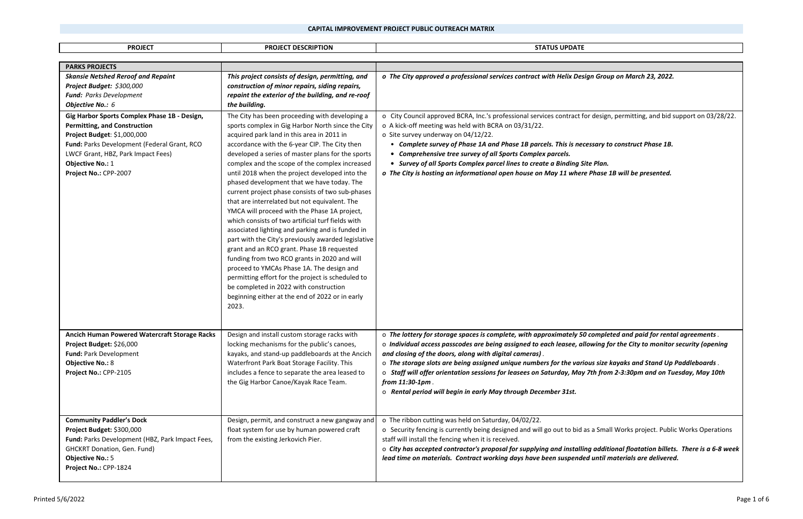*o The City approved a professional services contract with Helix Design Group on March 23, 2022.*

 $\cdot$  design, permitting, and bid support on 03/28/22.

| <b>PROJECT</b>                                                                                                                                                                                                                                                                                                                                                                       | <b>PROJECT DESCRIPTION</b>                                                                                                                                                                                                                                                                                                                                                                                                                                                                                                                                                                                                                                                                                                                                                                                                                                                                                                                                                                                                                                                                                                                                                                                       | <b>STATUS UPDATE</b>                                                                                                                                                                                                                                                                                                                                                                                                                                                                                                                                                     |
|--------------------------------------------------------------------------------------------------------------------------------------------------------------------------------------------------------------------------------------------------------------------------------------------------------------------------------------------------------------------------------------|------------------------------------------------------------------------------------------------------------------------------------------------------------------------------------------------------------------------------------------------------------------------------------------------------------------------------------------------------------------------------------------------------------------------------------------------------------------------------------------------------------------------------------------------------------------------------------------------------------------------------------------------------------------------------------------------------------------------------------------------------------------------------------------------------------------------------------------------------------------------------------------------------------------------------------------------------------------------------------------------------------------------------------------------------------------------------------------------------------------------------------------------------------------------------------------------------------------|--------------------------------------------------------------------------------------------------------------------------------------------------------------------------------------------------------------------------------------------------------------------------------------------------------------------------------------------------------------------------------------------------------------------------------------------------------------------------------------------------------------------------------------------------------------------------|
| <b>PARKS PROJECTS</b>                                                                                                                                                                                                                                                                                                                                                                |                                                                                                                                                                                                                                                                                                                                                                                                                                                                                                                                                                                                                                                                                                                                                                                                                                                                                                                                                                                                                                                                                                                                                                                                                  |                                                                                                                                                                                                                                                                                                                                                                                                                                                                                                                                                                          |
| <b>Skansie Netshed Reroof and Repaint</b><br>Project Budget: \$300,000<br>Fund: Parks Development<br>Objective No.: 6<br>Gig Harbor Sports Complex Phase 1B - Design,<br><b>Permitting, and Construction</b><br>Project Budget: \$1,000,000<br>Fund: Parks Development (Federal Grant, RCO<br>LWCF Grant, HBZ, Park Impact Fees)<br><b>Objective No.: 1</b><br>Project No.: CPP-2007 | This project consists of design, permitting, and<br>construction of minor repairs, siding repairs,<br>repaint the exterior of the building, and re-roof<br>the building.<br>The City has been proceeding with developing a<br>sports complex in Gig Harbor North since the City<br>acquired park land in this area in 2011 in<br>accordance with the 6-year CIP. The City then<br>developed a series of master plans for the sports<br>complex and the scope of the complex increased<br>until 2018 when the project developed into the<br>phased development that we have today. The<br>current project phase consists of two sub-phases<br>that are interrelated but not equivalent. The<br>YMCA will proceed with the Phase 1A project,<br>which consists of two artificial turf fields with<br>associated lighting and parking and is funded in<br>part with the City's previously awarded legislative<br>grant and an RCO grant. Phase 1B requested<br>funding from two RCO grants in 2020 and will<br>proceed to YMCAs Phase 1A. The design and<br>permitting effort for the project is scheduled to<br>be completed in 2022 with construction<br>beginning either at the end of 2022 or in early<br>2023. | o The City approved a professional services contract with Helix Design Grou<br>o City Council approved BCRA, Inc.'s professional services contract for desig<br>o A kick-off meeting was held with BCRA on 03/31/22.<br>o Site survey underway on 04/12/22.<br>• Complete survey of Phase 1A and Phase 1B parcels. This is necessary t<br>Comprehensive tree survey of all Sports Complex parcels.<br>$\bullet$<br>• Survey of all Sports Complex parcel lines to create a Binding Site Plan.<br>o The City is hosting an informational open house on May 11 where Phase |
| Ancich Human Powered Watercraft Storage Racks<br>Project Budget: \$26,000<br>Fund: Park Development<br><b>Objective No.: 8</b><br>Project No.: CPP-2105                                                                                                                                                                                                                              | Design and install custom storage racks with<br>locking mechanisms for the public's canoes,<br>kayaks, and stand-up paddleboards at the Ancich<br>Waterfront Park Boat Storage Facility. This<br>includes a fence to separate the area leased to<br>the Gig Harbor Canoe/Kayak Race Team.                                                                                                                                                                                                                                                                                                                                                                                                                                                                                                                                                                                                                                                                                                                                                                                                                                                                                                                        | o The lottery for storage spaces is complete, with approximately 50 comple<br>o Individual access passcodes are being assigned to each leasee, allowing j<br>and closing of the doors, along with digital cameras).<br>o The storage slots are being assigned unique numbers for the various size<br>o Staff will offer orientation sessions for leasees on Saturday, May 7th fro<br>from $11:30-1$ pm.<br>o Rental period will begin in early May through December 31st.                                                                                                |
| <b>Community Paddler's Dock</b><br>Project Budget: \$300,000<br>Fund: Parks Development (HBZ, Park Impact Fees,<br><b>GHCKRT Donation, Gen. Fund)</b><br><b>Objective No.: 5</b><br>Project No.: CPP-1824                                                                                                                                                                            | Design, permit, and construct a new gangway and<br>float system for use by human powered craft<br>from the existing Jerkovich Pier.                                                                                                                                                                                                                                                                                                                                                                                                                                                                                                                                                                                                                                                                                                                                                                                                                                                                                                                                                                                                                                                                              | o The ribbon cutting was held on Saturday, 04/02/22.<br>o Security fencing is currently being designed and will go out to bid as a Sma<br>staff will install the fencing when it is received.<br>o City has accepted contractor's proposal for supplying and installing addit<br>lead time on materials. Contract working days have been suspended until                                                                                                                                                                                                                 |

<sup>o</sup>*City has accepted contractor's proposal for supplying and installing additional floatation billets. There is a 6‐8 week until materials are delivered.* 

• *Complete survey of Phase 1A and Phase 1B parcels. This is necessary to construct Phase 1B.*

*o The City is hosting an informational open house on May 11 where Phase 1B will be presented.*

<sup>o</sup>*The lottery for storage spaces is complete, with approximately 50 completed and paid for rental agreements*. <sup>o</sup>*Individual access passcodes are being assigned to each leasee, allowing for the City to monitor security (opening* 

<sup>o</sup>*The storage slots are being assigned unique numbers for the various size kayaks and Stand Up Paddleboards*. <sup>o</sup> *Staff will offer orientation sessions for leasees on Saturday, May 7th from 2‐3:30pm and on Tuesday, May 10th* 

s a Small Works project. Public Works Operations

## **CAPITAL IMPROVEMENT PROJECT PUBLIC OUTREACH MATRIX**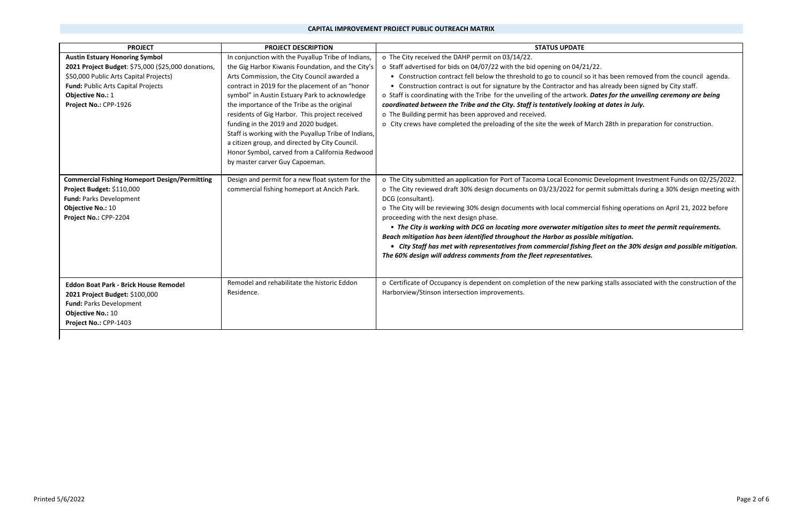## **CAPITAL IMPROVEMENT PROJECT PUBLIC OUTREACH MATRIX**

 $\overline{\text{D}}$  it has been removed from the council agenda. has already been signed by City staff. . Dates for the unveiling ceremony are being *coordinated between the Tribe and the City. Staff is tentatively looking at dates in July.*

March 28th in preparation for construction.

ic Development Investment Funds on 02/25/2022. permit submittals during a 30% design meeting with

rcial fishing operations on April 21, 2022 before

 • *The City is working with DCG on locating more overwater mitigation sites to meet the permit requirements.*   $b$  *ible mitigation.* 

| <b>PROJECT</b>                                                                                                                                                                                                                         | <b>PROJECT DESCRIPTION</b>                                                                                                                                                                                                                                                                                                                                                                                                                                                                                                                                                                        | <b>STATUS UPDATE</b>                                                                                                                                                                                                                                                                                                                                                                                                                                                                                                                                                                               |
|----------------------------------------------------------------------------------------------------------------------------------------------------------------------------------------------------------------------------------------|---------------------------------------------------------------------------------------------------------------------------------------------------------------------------------------------------------------------------------------------------------------------------------------------------------------------------------------------------------------------------------------------------------------------------------------------------------------------------------------------------------------------------------------------------------------------------------------------------|----------------------------------------------------------------------------------------------------------------------------------------------------------------------------------------------------------------------------------------------------------------------------------------------------------------------------------------------------------------------------------------------------------------------------------------------------------------------------------------------------------------------------------------------------------------------------------------------------|
| <b>Austin Estuary Honoring Symbol</b><br>2021 Project Budget: \$75,000 (\$25,000 donations,<br>\$50,000 Public Arts Capital Projects)<br><b>Fund: Public Arts Capital Projects</b><br><b>Objective No.: 1</b><br>Project No.: CPP-1926 | In conjunction with the Puyallup Tribe of Indians,<br>the Gig Harbor Kiwanis Foundation, and the City's<br>Arts Commission, the City Council awarded a<br>contract in 2019 for the placement of an "honor<br>symbol" in Austin Estuary Park to acknowledge<br>the importance of the Tribe as the original<br>residents of Gig Harbor. This project received<br>funding in the 2019 and 2020 budget.<br>Staff is working with the Puyallup Tribe of Indians,<br>a citizen group, and directed by City Council.<br>Honor Symbol, carved from a California Redwood<br>by master carver Guy Capoeman. | o The City received the DAHP permit on 03/14/22.<br>o Staff advertised for bids on 04/07/22 with the bid opening on 04/21/22.<br>• Construction contract fell below the threshold to go to council so it has<br>• Construction contract is out for signature by the Contractor and has a<br>o Staff is coordinating with the Tribe for the unveiling of the artwork. Date<br>coordinated between the Tribe and the City. Staff is tentatively looking at<br>o The Building permit has been approved and received.<br>o City crews have completed the preloading of the site the week of March      |
| <b>Commercial Fishing Homeport Design/Permitting</b><br>Project Budget: \$110,000<br>Fund: Parks Development<br><b>Objective No.: 10</b><br>Project No.: CPP-2204                                                                      | Design and permit for a new float system for the<br>commercial fishing homeport at Ancich Park.                                                                                                                                                                                                                                                                                                                                                                                                                                                                                                   | o The City submitted an application for Port of Tacoma Local Economic De<br>o The City reviewed draft 30% design documents on 03/23/2022 for permi<br>DCG (consultant).<br>o The City will be reviewing 30% design documents with local commercial<br>proceeding with the next design phase.<br>• The City is working with DCG on locating more overwater mitigation<br>Beach mitigation has been identified throughout the Harbor as possible n<br>• City Staff has met with representatives from commercial fishing flee<br>The 60% design will address comments from the fleet representatives. |
| <b>Eddon Boat Park - Brick House Remodel</b><br>2021 Project Budget: \$100,000<br><b>Fund: Parks Development</b><br><b>Objective No.: 10</b><br>Project No.: CPP-1403                                                                  | Remodel and rehabilitate the historic Eddon<br>Residence.                                                                                                                                                                                                                                                                                                                                                                                                                                                                                                                                         | o Certificate of Occupancy is dependent on completion of the new parking<br>Harborview/Stinson intersection improvements.                                                                                                                                                                                                                                                                                                                                                                                                                                                                          |

 *• City Staff has met with representatives from commercial fishing fleet on the 30% design and possible mitigation.* 

rking stalls associated with the construction of the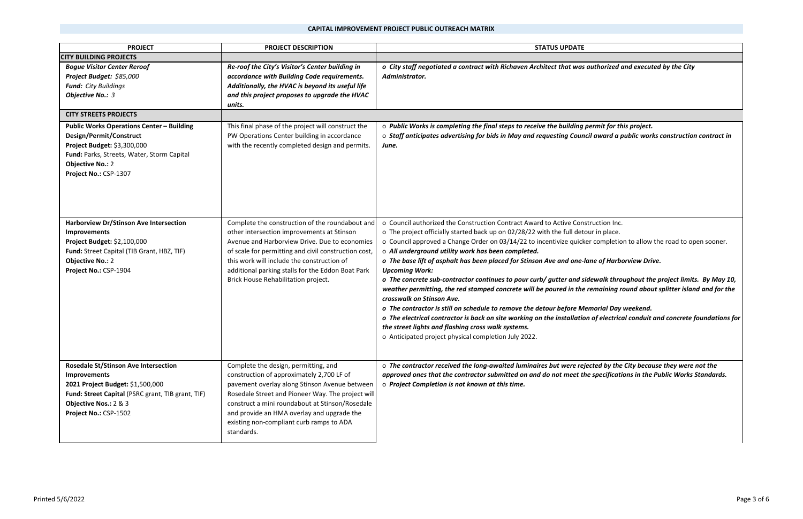*o City staff negotiated a contract with Richaven Architect that was authorized and executed by the City* 

*o The concrete sub‐contractor continues to pour curb/ gutter and sidewalk throughout the project limits. By May 10,*  remaining round about splitter island and for the

<sup>o</sup>*Public Works is completing the final steps to receive the building permit for this project.* <sup>o</sup>*Staff anticipates advertising for bids in May and requesting Council award a public works construction contract in* 

ur in place. r completion to allow the road to open sooner.

| <b>PROJECT</b>                                                                                                                                                                                               | <b>PROJECT DESCRIPTION</b>                                                                                                                                                                                                                                                                                                                         | <b>STATUS UPDATE</b>                                                                                                                                                                                                                                                                                                                                                                                                                                                                                                                                                                                                                                                                                                                                                                                                                                                                                                     |
|--------------------------------------------------------------------------------------------------------------------------------------------------------------------------------------------------------------|----------------------------------------------------------------------------------------------------------------------------------------------------------------------------------------------------------------------------------------------------------------------------------------------------------------------------------------------------|--------------------------------------------------------------------------------------------------------------------------------------------------------------------------------------------------------------------------------------------------------------------------------------------------------------------------------------------------------------------------------------------------------------------------------------------------------------------------------------------------------------------------------------------------------------------------------------------------------------------------------------------------------------------------------------------------------------------------------------------------------------------------------------------------------------------------------------------------------------------------------------------------------------------------|
| <b>CITY BUILDING PROJECTS</b>                                                                                                                                                                                |                                                                                                                                                                                                                                                                                                                                                    |                                                                                                                                                                                                                                                                                                                                                                                                                                                                                                                                                                                                                                                                                                                                                                                                                                                                                                                          |
| <b>Bogue Visitor Center Reroof</b><br>Project Budget: \$85,000<br><b>Fund:</b> City Buildings<br>Objective No.: 3                                                                                            | Re-roof the City's Visitor's Center building in<br>accordance with Building Code requirements.<br>Additionally, the HVAC is beyond its useful life<br>and this project proposes to upgrade the HVAC<br>units.                                                                                                                                      | o City staff negotiated a contract with Richaven Architect that was authorized a<br>Administrator.                                                                                                                                                                                                                                                                                                                                                                                                                                                                                                                                                                                                                                                                                                                                                                                                                       |
| <b>CITY STREETS PROJECTS</b>                                                                                                                                                                                 |                                                                                                                                                                                                                                                                                                                                                    |                                                                                                                                                                                                                                                                                                                                                                                                                                                                                                                                                                                                                                                                                                                                                                                                                                                                                                                          |
| <b>Public Works Operations Center - Building</b><br>Design/Permit/Construct<br>Project Budget: \$3,300,000<br>Fund: Parks, Streets, Water, Storm Capital<br><b>Objective No.: 2</b><br>Project No.: CSP-1307 | This final phase of the project will construct the<br>PW Operations Center building in accordance<br>with the recently completed design and permits.                                                                                                                                                                                               | o Public Works is completing the final steps to receive the building permit for th<br>o Staff anticipates advertising for bids in May and requesting Council award a p<br>June.                                                                                                                                                                                                                                                                                                                                                                                                                                                                                                                                                                                                                                                                                                                                          |
| Harborview Dr/Stinson Ave Intersection<br>Improvements<br>Project Budget: \$2,100,000<br>Fund: Street Capital (TIB Grant, HBZ, TIF)<br><b>Objective No.: 2</b><br>Project No.: CSP-1904                      | Complete the construction of the roundabout and<br>other intersection improvements at Stinson<br>Avenue and Harborview Drive. Due to economies<br>of scale for permitting and civil construction cost,<br>this work will include the construction of<br>additional parking stalls for the Eddon Boat Park<br>Brick House Rehabilitation project.   | o Council authorized the Construction Contract Award to Active Construction Inc.<br>o The project officially started back up on 02/28/22 with the full detour in place.<br>o Council approved a Change Order on 03/14/22 to incentivize quicker completion<br>o All underground utility work has been completed.<br>o The base lift of asphalt has been placed for Stinson Ave and one-lane of Harbo<br><b>Upcoming Work:</b><br>o The concrete sub-contractor continues to pour curb/ gutter and sidewalk throu<br>weather permitting, the red stamped concrete will be poured in the remaining ro<br>crosswalk on Stinson Ave.<br>o The contractor is still on schedule to remove the detour before Memorial Day<br>o The electrical contractor is back on site working on the installation of electrica<br>the street lights and flashing cross walk systems.<br>o Anticipated project physical completion July 2022. |
| <b>Rosedale St/Stinson Ave Intersection</b><br>Improvements<br>2021 Project Budget: \$1,500,000<br>Fund: Street Capital (PSRC grant, TIB grant, TIF)<br>Objective Nos.: 2 & 3<br>Project No.: CSP-1502       | Complete the design, permitting, and<br>construction of approximately 2,700 LF of<br>pavement overlay along Stinson Avenue between<br>Rosedale Street and Pioneer Way. The project will<br>construct a mini roundabout at Stinson/Rosedale<br>and provide an HMA overlay and upgrade the<br>existing non-compliant curb ramps to ADA<br>standards. | o The contractor received the long-awaited luminaires but were rejected by the<br>approved ones that the contractor submitted on and do not meet the specification<br>o Project Completion is not known at this time.                                                                                                                                                                                                                                                                                                                                                                                                                                                                                                                                                                                                                                                                                                    |

*o The base lift of asphalt has been placed for Stinson Ave and one‐lane of Harborview Drive.*

*o The contractor is still on schedule to remove the detour before Memorial Day weekend. o The electrical contractor is back on site working on the installation of electrical conduit and concrete foundations for* 

<sup>o</sup>*The contractor received the long‐awaited luminaires but were rejected by the City because they were not the approved ones that the contractor submitted on and do not meet the specifications in the Public Works Standards.*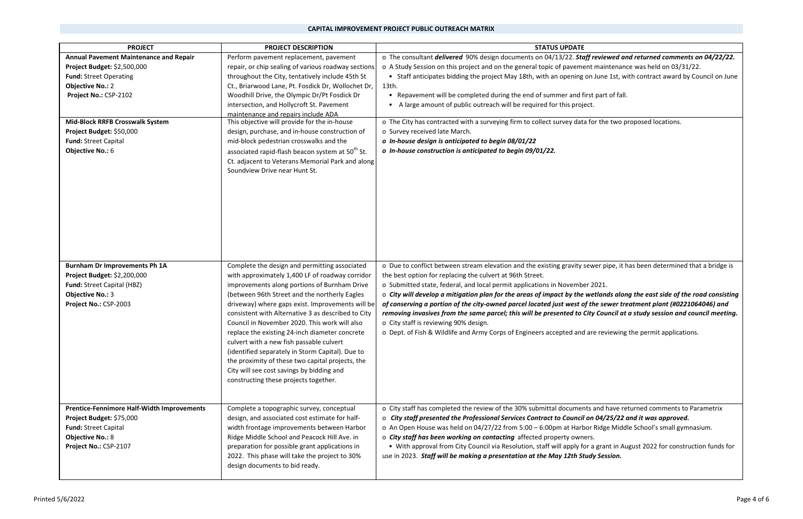## **CAPITAL IMPROVEMENT PROJECT PUBLIC OUTREACH MATRIX**

 90% design documents on 04/13/22. *Staff reviewed and returned comments on 04/22/22.* nt maintenance was held on 03/31/22. on June 1st, with contract award by Council on June

st part of fall.

for the two proposed locations.

ewer pipe, it has been determined that a bridge is

| <b>PROJECT</b>                                    | <b>PROJECT DESCRIPTION</b>                                   | <b>STATUS UPDATE</b>                                                              |
|---------------------------------------------------|--------------------------------------------------------------|-----------------------------------------------------------------------------------|
| <b>Annual Pavement Maintenance and Repair</b>     | Perform pavement replacement, pavement                       | o The consultant <i>delivered</i> 90% design documents on 04/13/22. Staff revie   |
| Project Budget: \$2,500,000                       | repair, or chip sealing of various roadway sections          | o A Study Session on this project and on the general topic of pavement mair       |
| <b>Fund: Street Operating</b>                     | throughout the City, tentatively include 45th St             | • Staff anticipates bidding the project May 18th, with an opening on June         |
| <b>Objective No.: 2</b>                           | Ct., Briarwood Lane, Pt. Fosdick Dr, Wollochet Dr,           | 13th.                                                                             |
| Project No.: CSP-2102                             | Woodhill Drive, the Olympic Dr/Pt Fosdick Dr                 | Repavement will be completed during the end of summer and first part<br>$\bullet$ |
|                                                   | intersection, and Hollycroft St. Pavement                    | A large amount of public outreach will be required for this project.              |
|                                                   | maintenance and repairs include ADA                          |                                                                                   |
| <b>Mid-Block RRFB Crosswalk System</b>            | This objective will provide for the in-house                 | o The City has contracted with a surveying firm to collect survey data for the    |
| Project Budget: \$50,000                          | design, purchase, and in-house construction of               | o Survey received late March.                                                     |
| <b>Fund: Street Capital</b>                       | mid-block pedestrian crosswalks and the                      | o In-house design is anticipated to begin 08/01/22                                |
| <b>Objective No.: 6</b>                           | associated rapid-flash beacon system at 50 <sup>th</sup> St. | o In-house construction is anticipated to begin 09/01/22.                         |
|                                                   | Ct. adjacent to Veterans Memorial Park and along             |                                                                                   |
|                                                   | Soundview Drive near Hunt St.                                |                                                                                   |
|                                                   |                                                              |                                                                                   |
|                                                   |                                                              |                                                                                   |
|                                                   |                                                              |                                                                                   |
|                                                   |                                                              |                                                                                   |
|                                                   |                                                              |                                                                                   |
|                                                   |                                                              |                                                                                   |
|                                                   |                                                              |                                                                                   |
|                                                   |                                                              |                                                                                   |
|                                                   |                                                              |                                                                                   |
| <b>Burnham Dr Improvements Ph 1A</b>              | Complete the design and permitting associated                | o Due to conflict between stream elevation and the existing gravity sewer p       |
| Project Budget: \$2,200,000                       | with approximately 1,400 LF of roadway corridor              | the best option for replacing the culvert at 96th Street.                         |
| Fund: Street Capital (HBZ)                        | improvements along portions of Burnham Drive                 | o Submitted state, federal, and local permit applications in November 2021.       |
| <b>Objective No.: 3</b>                           | (between 96th Street and the northerly Eagles                | o City will develop a mitigation plan for the areas of impact by the wetlan       |
| Project No.: CSP-2003                             | driveway) where gaps exist. Improvements will be             | of conserving a portion of the city-owned parcel located just west of the se      |
|                                                   | consistent with Alternative 3 as described to City           | removing invasives from the same parcel; this will be presented to City Cou       |
|                                                   | Council in November 2020. This work will also                | o City staff is reviewing 90% design.                                             |
|                                                   | replace the existing 24-inch diameter concrete               | o Dept. of Fish & Wildlife and Army Corps of Engineers accepted and are rev       |
|                                                   | culvert with a new fish passable culvert                     |                                                                                   |
|                                                   | (identified separately in Storm Capital). Due to             |                                                                                   |
|                                                   | the proximity of these two capital projects, the             |                                                                                   |
|                                                   | City will see cost savings by bidding and                    |                                                                                   |
|                                                   | constructing these projects together.                        |                                                                                   |
|                                                   |                                                              |                                                                                   |
|                                                   |                                                              |                                                                                   |
| <b>Prentice-Fennimore Half-Width Improvements</b> | Complete a topographic survey, conceptual                    | o City staff has completed the review of the 30% submittal documents and I        |
| Project Budget: \$75,000                          | design, and associated cost estimate for half-               | o City staff presented the Professional Services Contract to Council on 04/       |
| <b>Fund: Street Capital</b>                       | width frontage improvements between Harbor                   | o An Open House was held on 04/27/22 from 5:00 - 6:00pm at Harbor Ridg            |
|                                                   |                                                              |                                                                                   |
| <b>Objective No.: 8</b>                           | Ridge Middle School and Peacock Hill Ave. in                 | o City staff has been working on contacting affected property owners.             |
| Project No.: CSP-2107                             | preparation for possible grant applications in               | • With approval from City Council via Resolution, staff will apply for a grai     |
|                                                   | 2022. This phase will take the project to 30%                | use in 2023. Staff will be making a presentation at the May 12th Study Ses        |
|                                                   | design documents to bid ready.                               |                                                                                   |
|                                                   |                                                              |                                                                                   |

<sup>o</sup>*City will develop a mitigation plan for the areas of impact by the wetlands along the east side of the road consisting of conserving a portion of the city‐owned parcel located just west of the sewer treatment plant (#0221064046) and removing invasives from the same parcel; this will be presented to City Council at a study session and council meeting.*

are reviewing the permit applications.

s and have returned comments to Parametrix *City staff presented the Professional Services Contract to Council on 04/25/22 and it was approved.* or Ridge Middle School's small gymnasium. r a grant in August 2022 for construction funds for

use in 2023. *Staff will be making a presentation at the May 12th Study Session.*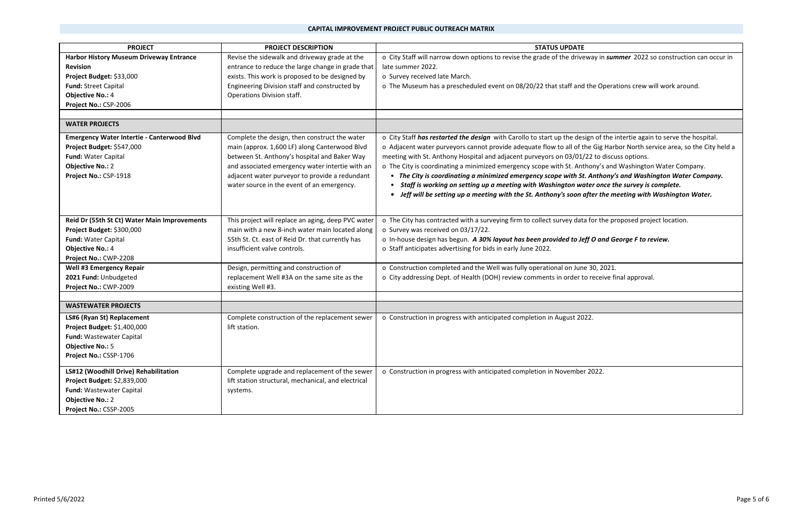| <b>PROJECT</b>                                    | <b>PROJECT DESCRIPTION</b>                          | <b>STATUS UPDATE</b>                                                                                                    |
|---------------------------------------------------|-----------------------------------------------------|-------------------------------------------------------------------------------------------------------------------------|
| <b>Harbor History Museum Driveway Entrance</b>    | Revise the sidewalk and driveway grade at the       | o City Staff will narrow down options to revise the grade of the driveway in summer 2022 so construction can occur in   |
| <b>Revision</b>                                   | entrance to reduce the large change in grade that   | late summer 2022.                                                                                                       |
| Project Budget: \$33,000                          | exists. This work is proposed to be designed by     | o Survey received late March.                                                                                           |
| <b>Fund: Street Capital</b>                       | Engineering Division staff and constructed by       | o The Museum has a prescheduled event on 08/20/22 that staff and the Operations crew will work around.                  |
| <b>Objective No.: 4</b>                           | Operations Division staff.                          |                                                                                                                         |
| Project No.: CSP-2006                             |                                                     |                                                                                                                         |
|                                                   |                                                     |                                                                                                                         |
| <b>WATER PROJECTS</b>                             |                                                     |                                                                                                                         |
| <b>Emergency Water Intertie - Canterwood Blvd</b> | Complete the design, then construct the water       | o City Staff has restarted the design with Carollo to start up the design of the intertie again to serve the hospital.  |
| Project Budget: \$547,000                         | main (approx. 1,600 LF) along Canterwood Blvd       | o Adjacent water purveyors cannot provide adequate flow to all of the Gig Harbor North service area, so the City held a |
| Fund: Water Capital                               | between St. Anthony's hospital and Baker Way        | meeting with St. Anthony Hospital and adjacent purveyors on 03/01/22 to discuss options.                                |
| <b>Objective No.: 2</b>                           | and associated emergency water intertie with an     | o The City is coordinating a minimized emergency scope with St. Anthony's and Washington Water Company.                 |
| Project No.: CSP-1918                             | adjacent water purveyor to provide a redundant      | • The City is coordinating a minimized emergency scope with St. Anthony's and Washington Water Company.                 |
|                                                   | water source in the event of an emergency.          | Staff is working on setting up a meeting with Washington water once the survey is complete.                             |
|                                                   |                                                     | • Jeff will be setting up a meeting with the St. Anthony's soon after the meeting with Washington Water.                |
|                                                   |                                                     |                                                                                                                         |
| Reid Dr (55th St Ct) Water Main Improvements      | This project will replace an aging, deep PVC water  | o The City has contracted with a surveying firm to collect survey data for the proposed project location.               |
| Project Budget: \$300,000                         | main with a new 8-inch water main located along     | o Survey was received on 03/17/22.                                                                                      |
| Fund: Water Capital                               | 55th St. Ct. east of Reid Dr. that currently has    | o In-house design has begun. A 30% layout has been provided to Jeff O and George F to review.                           |
| <b>Objective No.: 4</b>                           | insufficient valve controls.                        | o Staff anticipates advertising for bids in early June 2022.                                                            |
| Project No.: CWP-2208                             |                                                     |                                                                                                                         |
| <b>Well #3 Emergency Repair</b>                   | Design, permitting and construction of              | o Construction completed and the Well was fully operational on June 30, 2021.                                           |
| 2021 Fund: Unbudgeted                             | replacement Well #3A on the same site as the        | o City addressing Dept. of Health (DOH) review comments in order to receive final approval.                             |
| Project No.: CWP-2009                             | existing Well #3.                                   |                                                                                                                         |
|                                                   |                                                     |                                                                                                                         |
| <b>WASTEWATER PROJECTS</b>                        |                                                     |                                                                                                                         |
| LS#6 (Ryan St) Replacement                        | Complete construction of the replacement sewer      | o Construction in progress with anticipated completion in August 2022.                                                  |
| Project Budget: \$1,400,000                       | lift station.                                       |                                                                                                                         |
| <b>Fund: Wastewater Capital</b>                   |                                                     |                                                                                                                         |
| <b>Objective No.: 5</b>                           |                                                     |                                                                                                                         |
| Project No.: CSSP-1706                            |                                                     |                                                                                                                         |
| LS#12 (Woodhill Drive) Rehabilitation             | Complete upgrade and replacement of the sewer       | o Construction in progress with anticipated completion in November 2022.                                                |
| Project Budget: \$2,839,000                       | lift station structural, mechanical, and electrical |                                                                                                                         |
| <b>Fund: Wastewater Capital</b>                   | systems.                                            |                                                                                                                         |
| <b>Objective No.: 2</b>                           |                                                     |                                                                                                                         |
| Project No.: CSSP-2005                            |                                                     |                                                                                                                         |

| ay in summer 2022 so construction can occur in      |
|-----------------------------------------------------|
|                                                     |
|                                                     |
|                                                     |
| he Operations crew will work around.                |
|                                                     |
|                                                     |
|                                                     |
|                                                     |
| n of the intertie again to serve the hospital.      |
| e Gig Harbor North service area, so the City held a |
| 2 to discuss options.                               |
| ony's and Washington Water Company.                 |
|                                                     |
| Anthony's and Washington Water Company.             |
| er once the survey is complete.                     |
| ter the meeting with Washington Water.              |
|                                                     |
|                                                     |
| for the proposed project location.                  |
|                                                     |
| O and George F to review.                           |
|                                                     |
|                                                     |
|                                                     |
| 30, 2021.                                           |
| receive final approval.                             |
|                                                     |
|                                                     |
|                                                     |
| $\overline{\mathbf{2}}$ .                           |
|                                                     |
|                                                     |
|                                                     |
|                                                     |
|                                                     |
|                                                     |
| 2022.                                               |
|                                                     |
|                                                     |
|                                                     |
|                                                     |
|                                                     |